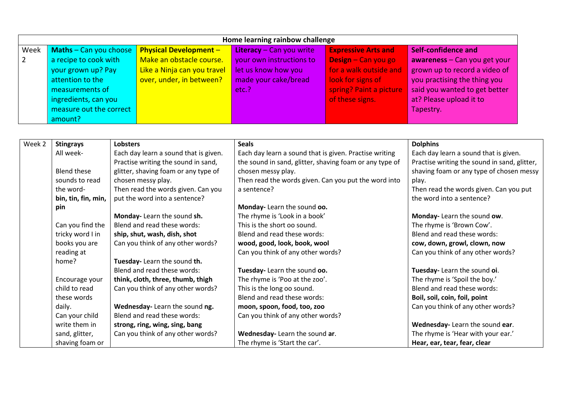| Home learning rainbow challenge |                                 |                               |                            |                            |                                |  |  |
|---------------------------------|---------------------------------|-------------------------------|----------------------------|----------------------------|--------------------------------|--|--|
| Week                            | <b>Maths</b> $-$ Can you choose | <b>Physical Development -</b> | Literacy $-$ Can you write | <b>Expressive Arts and</b> | Self-confidence and            |  |  |
| $\sqrt{2}$                      | a recipe to cook with           | Make an obstacle course.      | your own instructions to   | Design - Can you go        | awareness $-$ Can you get your |  |  |
|                                 | your grown up? Pay              | Like a Ninja can you travel   | let us know how you        | for a walk outside and     | grown up to record a video of  |  |  |
|                                 | attention to the                | over, under, in between?      | made your cake/bread       | look for signs of          | you practising the thing you   |  |  |
|                                 | measurements of                 |                               | etc.?                      | spring? Paint a picture    | said you wanted to get better  |  |  |
|                                 | ingredients, can you            |                               |                            | of these signs.            | at? Please upload it to        |  |  |
|                                 | measure out the correct         |                               |                            |                            | Tapestry.                      |  |  |
|                                 | amount?                         |                               |                            |                            |                                |  |  |

| Week 2 | <b>Stingrays</b>    | <b>Lobsters</b>                       | <b>Seals</b>                                            | <b>Dolphins</b>                              |
|--------|---------------------|---------------------------------------|---------------------------------------------------------|----------------------------------------------|
|        | All week-           | Each day learn a sound that is given. | Each day learn a sound that is given. Practise writing  | Each day learn a sound that is given.        |
|        |                     | Practise writing the sound in sand,   | the sound in sand, glitter, shaving foam or any type of | Practise writing the sound in sand, glitter, |
|        | <b>Blend these</b>  | glitter, shaving foam or any type of  | chosen messy play.                                      | shaving foam or any type of chosen messy     |
|        | sounds to read      | chosen messy play.                    | Then read the words given. Can you put the word into    | play.                                        |
|        | the word-           | Then read the words given. Can you    | a sentence?                                             | Then read the words given. Can you put       |
|        | bin, tin, fin, min, | put the word into a sentence?         |                                                         | the word into a sentence?                    |
|        | pin                 |                                       | Monday- Learn the sound oo.                             |                                              |
|        |                     | Monday-Learn the sound sh.            | The rhyme is 'Look in a book'                           | Monday-Learn the sound ow.                   |
|        | Can you find the    | Blend and read these words:           | This is the short oo sound.                             | The rhyme is 'Brown Cow'.                    |
|        | tricky word I in    | ship, shut, wash, dish, shot          | Blend and read these words:                             | Blend and read these words:                  |
|        | books you are       | Can you think of any other words?     | wood, good, look, book, wool                            | cow, down, growl, clown, now                 |
|        | reading at          |                                       | Can you think of any other words?                       | Can you think of any other words?            |
|        | home?               | Tuesday- Learn the sound th.          |                                                         |                                              |
|        |                     | Blend and read these words:           | Tuesday- Learn the sound oo.                            | Tuesday- Learn the sound oi.                 |
|        | Encourage your      | think, cloth, three, thumb, thigh     | The rhyme is 'Poo at the zoo'.                          | The rhyme is 'Spoil the boy.'                |
|        | child to read       | Can you think of any other words?     | This is the long oo sound.                              | Blend and read these words:                  |
|        | these words         |                                       | Blend and read these words:                             | Boil, soil, coin, foil, point                |
|        | daily.              | Wednesday- Learn the sound ng.        | moon, spoon, food, too, zoo                             | Can you think of any other words?            |
|        | Can your child      | Blend and read these words:           | Can you think of any other words?                       |                                              |
|        | write them in       | strong, ring, wing, sing, bang        |                                                         | Wednesday- Learn the sound ear.              |
|        | sand, glitter,      | Can you think of any other words?     | Wednesday- Learn the sound ar.                          | The rhyme is 'Hear with your ear.'           |
|        | shaving foam or     |                                       | The rhyme is 'Start the car'.                           | Hear, ear, tear, fear, clear                 |